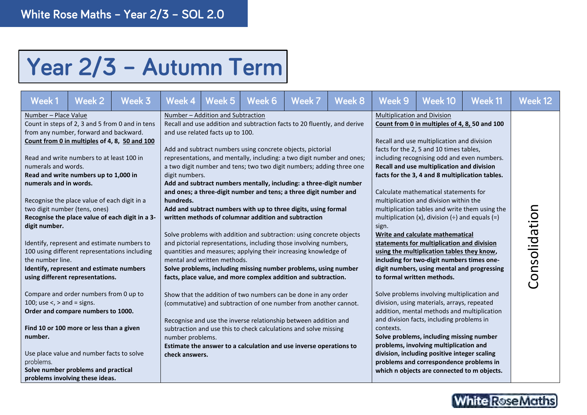## Year 2/3 - Autumn Term

| Week 1                                                                                                                                                                                                                                                                                                                                                                                                                                                         | Week 2 | Week 3 | Week 4                                                                                                                                                                                                                                                                                                                                                                                                                                         | Week 5                                                                | Week 6                                               | Week 7                                                                                                                                                                                                                                                                                                                                                                                                                                                                                                                                                                        | Week 8                                                                                                                                                                                                                                                                                                                                                                                                                                                                                                                                                                 | Week 9                                                                                                                                                                                                                                                                                                                                | Week 10       | Week 11 | Week 12 |
|----------------------------------------------------------------------------------------------------------------------------------------------------------------------------------------------------------------------------------------------------------------------------------------------------------------------------------------------------------------------------------------------------------------------------------------------------------------|--------|--------|------------------------------------------------------------------------------------------------------------------------------------------------------------------------------------------------------------------------------------------------------------------------------------------------------------------------------------------------------------------------------------------------------------------------------------------------|-----------------------------------------------------------------------|------------------------------------------------------|-------------------------------------------------------------------------------------------------------------------------------------------------------------------------------------------------------------------------------------------------------------------------------------------------------------------------------------------------------------------------------------------------------------------------------------------------------------------------------------------------------------------------------------------------------------------------------|------------------------------------------------------------------------------------------------------------------------------------------------------------------------------------------------------------------------------------------------------------------------------------------------------------------------------------------------------------------------------------------------------------------------------------------------------------------------------------------------------------------------------------------------------------------------|---------------------------------------------------------------------------------------------------------------------------------------------------------------------------------------------------------------------------------------------------------------------------------------------------------------------------------------|---------------|---------|---------|
| Number - Place Value<br>Count in steps of 2, 3 and 5 from 0 and in tens<br>from any number, forward and backward.<br>Count from 0 in multiples of 4, 8, 50 and 100<br>Read and write numbers to at least 100 in<br>numerals and words.<br>Read and write numbers up to 1,000 in<br>numerals and in words.<br>Recognise the place value of each digit in a<br>two digit number (tens, ones)<br>Recognise the place value of each digit in a 3-<br>digit number. |        |        | digit numbers.<br>hundreds.                                                                                                                                                                                                                                                                                                                                                                                                                    | Number - Addition and Subtraction<br>and use related facts up to 100. | written methods of columnar addition and subtraction | Recall and use addition and subtraction facts to 20 fluently, and derive<br>Add and subtract numbers using concrete objects, pictorial<br>representations, and mentally, including: a two digit number and ones;<br>a two digit number and tens; two two digit numbers; adding three one<br>Add and subtract numbers mentally, including: a three-digit number<br>and ones; a three-digit number and tens; a three digit number and<br>Add and subtract numbers with up to three digits, using formal<br>Solve problems with addition and subtraction: using concrete objects | <b>Multiplication and Division</b><br>Count from 0 in multiples of 4, 8, 50 and 100<br>Recall and use multiplication and division<br>facts for the 2, 5 and 10 times tables,<br>including recognising odd and even numbers.<br>Recall and use multiplication and division<br>facts for the 3, 4 and 8 multiplication tables.<br>Calculate mathematical statements for<br>multiplication and division within the<br>multiplication tables and write them using the<br>multiplication (x), division $(\div)$ and equals (=)<br>sign.<br>Write and calculate mathematical |                                                                                                                                                                                                                                                                                                                                       |               |         |         |
| Identify, represent and estimate numbers to<br>100 using different representations including<br>the number line.<br>Identify, represent and estimate numbers<br>using different representations.<br>Compare and order numbers from 0 up to<br>100; use $\lt$ , $>$ and = signs.                                                                                                                                                                                |        |        | and pictorial representations, including those involving numbers,<br>quantities and measures; applying their increasing knowledge of<br>mental and written methods.<br>Solve problems, including missing number problems, using number<br>facts, place value, and more complex addition and subtraction.<br>Show that the addition of two numbers can be done in any order<br>(commutative) and subtraction of one number from another cannot. |                                                                       |                                                      |                                                                                                                                                                                                                                                                                                                                                                                                                                                                                                                                                                               |                                                                                                                                                                                                                                                                                                                                                                                                                                                                                                                                                                        | statements for multiplication and division<br>using the multiplication tables they know,<br>including for two-digit numbers times one-<br>digit numbers, using mental and progressing<br>to formal written methods.<br>Solve problems involving multiplication and<br>division, using materials, arrays, repeated                     | Consolidation |         |         |
| Order and compare numbers to 1000.<br>Find 10 or 100 more or less than a given<br>number.<br>Use place value and number facts to solve<br>problems.<br>Solve number problems and practical<br>problems involving these ideas.                                                                                                                                                                                                                                  |        |        | Recognise and use the inverse relationship between addition and<br>subtraction and use this to check calculations and solve missing<br>number problems.<br>Estimate the answer to a calculation and use inverse operations to<br>check answers.                                                                                                                                                                                                |                                                                       |                                                      |                                                                                                                                                                                                                                                                                                                                                                                                                                                                                                                                                                               |                                                                                                                                                                                                                                                                                                                                                                                                                                                                                                                                                                        | addition, mental methods and multiplication<br>and division facts, including problems in<br>contexts.<br>Solve problems, including missing number<br>problems, involving multiplication and<br>division, including positive integer scaling<br>problems and correspondence problems in<br>which n objects are connected to m objects. |               |         |         |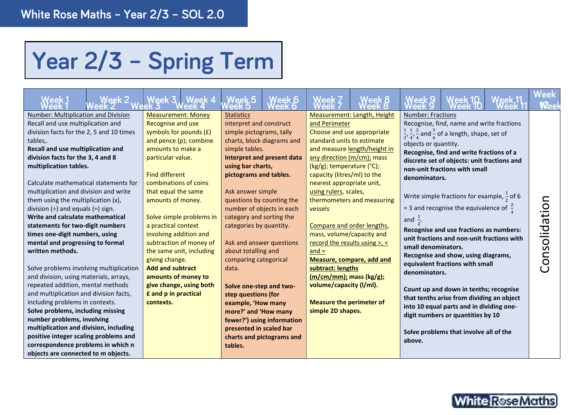## Year 2/3 - Spring Term

| Week 2                                                                                                                                                                                                                                                                                                                                                                                                                                                                                                                                                                                                                                                                                                                                                                                                                                                                                                                                                                                                               | Week 3 J. Week 4                                                                                                                                                                                                                                                                                                                                                                                                                                                                                                                   | Week 5                                                                                                                                                                                                                                                                                                                                                                                                                                                                                                                                                                                                                            | /eek 6' |                                                                                                                                                                                                                                                                                                                                                                                                                                                                                |                                                                                                                               |                                                                                                                                            |                                                                                                                                                                                                                                                                                                                                                                                                                                                                                                                                                                                                                                                                                                                                                                          | Veek                                 |
|----------------------------------------------------------------------------------------------------------------------------------------------------------------------------------------------------------------------------------------------------------------------------------------------------------------------------------------------------------------------------------------------------------------------------------------------------------------------------------------------------------------------------------------------------------------------------------------------------------------------------------------------------------------------------------------------------------------------------------------------------------------------------------------------------------------------------------------------------------------------------------------------------------------------------------------------------------------------------------------------------------------------|------------------------------------------------------------------------------------------------------------------------------------------------------------------------------------------------------------------------------------------------------------------------------------------------------------------------------------------------------------------------------------------------------------------------------------------------------------------------------------------------------------------------------------|-----------------------------------------------------------------------------------------------------------------------------------------------------------------------------------------------------------------------------------------------------------------------------------------------------------------------------------------------------------------------------------------------------------------------------------------------------------------------------------------------------------------------------------------------------------------------------------------------------------------------------------|---------|--------------------------------------------------------------------------------------------------------------------------------------------------------------------------------------------------------------------------------------------------------------------------------------------------------------------------------------------------------------------------------------------------------------------------------------------------------------------------------|-------------------------------------------------------------------------------------------------------------------------------|--------------------------------------------------------------------------------------------------------------------------------------------|--------------------------------------------------------------------------------------------------------------------------------------------------------------------------------------------------------------------------------------------------------------------------------------------------------------------------------------------------------------------------------------------------------------------------------------------------------------------------------------------------------------------------------------------------------------------------------------------------------------------------------------------------------------------------------------------------------------------------------------------------------------------------|--------------------------------------|
| Number: Multiplication and Division<br>Recall and use multiplication and<br>division facts for the 2, 5 and 10 times<br>tables,.<br>Recall and use multiplication and<br>division facts for the 3, 4 and 8<br>multiplication tables.<br>Calculate mathematical statements for<br>multiplication and division and write<br>them using the multiplication (x),<br>division $(\div)$ and equals $(=)$ sign.<br>Write and calculate mathematical<br>statements for two-digit numbers<br>times one-digit numbers, using<br>mental and progressing to formal<br>written methods.<br>Solve problems involving multiplication<br>and division, using materials, arrays,<br>repeated addition, mental methods<br>and multiplication and division facts,<br>including problems in contexts.<br>Solve problems, including missing<br>number problems, involving<br>multiplication and division, including<br>positive integer scaling problems and<br>correspondence problems in which n<br>objects are connected to m objects. | <b>Measurement: Money</b><br><b>Recognise and use</b><br>symbols for pounds $(E)$<br>and pence (p); combine<br>amounts to make a<br>particular value.<br><b>Find different</b><br>combinations of coins<br>that equal the same<br>amounts of money.<br>Solve simple problems in<br>a practical context<br>involving addition and<br>subtraction of money of<br>the same unit, including<br>giving change.<br><b>Add and subtract</b><br>amounts of money to<br>give change, using both<br><b>£</b> and p in practical<br>contexts. | <b>Statistics</b><br>Interpret and construct<br>simple pictograms, tally<br>charts, block diagrams and<br>simple tables.<br>Interpret and present data<br>using bar charts,<br>pictograms and tables.<br>Ask answer simple<br>questions by counting the<br>number of objects in each<br>category and sorting the<br>categories by quantity.<br>Ask and answer questions<br>about totalling and<br>comparing categorical<br>data.<br>Solve one-step and two-<br>step questions (for<br>example, 'How many<br>more?' and 'How many<br>fewer?') using information<br>presented in scaled bar<br>charts and pictograms and<br>tables. |         | and Perimeter<br>Choose and use appropriate<br>standard units to estimate<br>any direction (m/cm); mass<br>(kg/g); temperature (°C);<br>capacity (litres/ml) to the<br>nearest appropriate unit,<br>using rulers, scales,<br>vessels<br>Compare and order lengths,<br>mass, volume/capacity and<br>record the results using >, <<br>$and =$<br>subtract: lengths<br>(m/cm/mm); mass (kg/g);<br>volume/capacity (I/ml).<br><b>Measure the perimeter of</b><br>simple 2D shapes. | Measurement: Length, Height<br>and measure length/height in<br>thermometers and measuring<br><b>Measure, compare, add and</b> | <b>Number: Fractions</b><br>objects or quantity.<br>denominators.<br>and $\frac{1}{2}$ .<br>small denominators.<br>denominators.<br>above. | Recognise, find, name and write fractions<br>$\frac{1}{3}$ , $\frac{1}{4}$ , $\frac{2}{4}$ and $\frac{3}{4}$ of a length, shape, set of<br>Recognise, find and write fractions of a<br>discrete set of objects: unit fractions and<br>non-unit fractions with small<br>Write simple fractions for example, $\frac{1}{2}$ of 6<br>= 3 and recognise the equivalence of $\frac{2}{4}$<br>Recognise and use fractions as numbers:<br>unit fractions and non-unit fractions with<br>Recognise and show, using diagrams,<br>equivalent fractions with small<br>Count up and down in tenths; recognise<br>that tenths arise from dividing an object<br>into 10 equal parts and in dividing one-<br>digit numbers or quantities by 10<br>Solve problems that involve all of the | solidatio<br>$\mathbf{C}$<br>$\circ$ |